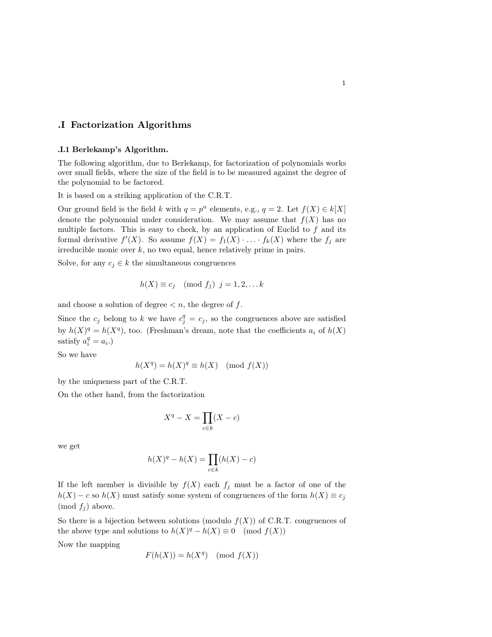## .I Factorization Algorithms

## .I.1 Berlekamp's Algorithm.

The following algorithm, due to Berlekamp, for factorization of polynomials works over small fields, where the size of the field is to be measured against the degree of the polynomial to be factored.

It is based on a striking application of the C.R.T.

Our ground field is the field k with  $q = p^n$  elements, e.g.,  $q = 2$ . Let  $f(X) \in k[X]$ denote the polynomial under consideration. We may assume that  $f(X)$  has no multiple factors. This is easy to check, by an application of Euclid to  $f$  and its formal derivative  $f'(X)$ . So assume  $f(X) = f_1(X) \cdot \ldots \cdot f_k(X)$  where the  $f_j$  are irreducible monic over  $k$ , no two equal, hence relatively prime in pairs.

Solve, for any  $c_j \in k$  the simultaneous congruences

$$
h(X) \equiv c_j \pmod{f_j} \quad j = 1, 2, \dots k
$$

and choose a solution of degree  $\lt n$ , the degree of f.

Since the  $c_j$  belong to k we have  $c_j^q = c_j$ , so the congruences above are satisfied by  $h(X)^q = h(X^q)$ , too. (Freshman's dream, note that the coefficients  $a_i$  of  $h(X)$ satisfy  $a_i^q = a_i.$ )

So we have

$$
h(X^q) = h(X)^q \equiv h(X) \pmod{f(X)}
$$

by the uniqueness part of the C.R.T.

On the other hand, from the factorization

$$
X^q - X = \prod_{c \in k} (X - c)
$$

we get

$$
h(X)^q - h(X) = \prod_{c \in k} (h(X) - c)
$$

If the left member is divisible by  $f(X)$  each  $f_j$  must be a factor of one of the  $h(X) - c$  so  $h(X)$  must satisfy some system of congruences of the form  $h(X) \equiv c_j$ (mod  $f_i$ ) above.

So there is a bijection between solutions (modulo  $f(X)$ ) of C.R.T. congruences of the above type and solutions to  $h(X)^q - h(X) \equiv 0 \pmod{f(X)}$ 

Now the mapping

$$
F(h(X)) = h(X^q) \pmod{f(X)}
$$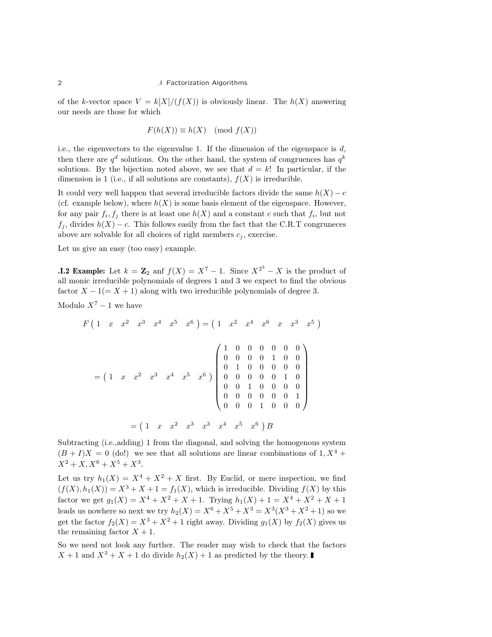of the k-vector space  $V = k[X]/(f(X))$  is obviously linear. The  $h(X)$  answering our needs are those for which

$$
F(h(X)) \equiv h(X) \pmod{f(X)}
$$

i.e., the eigenvectors to the eigenvalue 1. If the dimension of the eigenspace is  $d$ , then there are  $q^d$  solutions. On the other hand, the system of congruences has  $q^k$ solutions. By the bijection noted above, we see that  $d = k!$  In particular, if the dimension is 1 (i.e., if all solutions are constants),  $f(X)$  is irreducible.

It could very well happen that several irreducible factors divide the same  $h(X) - c$ (cf. example below), where  $h(X)$  is some basis element of the eigenspace. However, for any pair  $f_i, f_j$  there is at least one  $h(X)$  and a constant c such that  $f_i$ , but not  $f_j$ , divides  $h(X) - c$ . This follows easily from the fact that the C.R.T congruneces above are solvable for all choices of right members  $c_j$ , exercise.

Let us give an easy (too easy) example.

**I.2 Example:** Let  $k = \mathbb{Z}_2$  and  $f(X) = X^7 - 1$ . Since  $X^{2^3} - X$  is the product of all monic irreducible polynomials of degrees 1 and 3 we expect to find the obvious factor  $X - 1(= X + 1)$  along with two irreducible polynomials of degree 3.

Modulo  $X^7 - 1$  we have

$$
F(1 \t x \t x^{2} \t x^{3} \t x^{4} \t x^{5} \t x^{6}) = (1 \t x^{2} \t x^{4} \t x^{6} \t x \t x^{3} \t x^{5})
$$

$$
= (1 \t x \t x^{2} \t x^{3} \t x^{4} \t x^{5} \t x^{6}) \begin{pmatrix} 1 & 0 & 0 & 0 & 0 & 0 & 0 \\ 0 & 0 & 0 & 0 & 1 & 0 & 0 \\ 0 & 1 & 0 & 0 & 0 & 0 & 0 \\ 0 & 0 & 0 & 0 & 0 & 1 & 0 \\ 0 & 0 & 1 & 0 & 0 & 0 & 0 \\ 0 & 0 & 0 & 0 & 0 & 0 & 1 \\ 0 & 0 & 0 & 0 & 0 & 0 & 0 \end{pmatrix}
$$

$$
= (1 \t x \t x^{2} \t x^{3} \t x^{3} \t x^{4} \t x^{5} \t x^{6}) B
$$

Subtracting (i.e.,adding) 1 from the diagonal, and solving the homogenous system  $(B + I)X = 0$  (do!) we see that all solutions are linear combinations of 1,  $X^4$  +  $X^2 + X$ ,  $X^6 + X^5 + X^3$ .

Let us try  $h_1(X) = X^4 + X^2 + X$  first. By Euclid, or mere inspection, we find  $(f(X), h_1(X)) = X^3 + X + 1 = f_1(X)$ , which is irreducible. Dividing  $f(X)$  by this factor we get  $g_1(X) = X^4 + X^2 + X + 1$ . Trying  $h_1(X) + 1 = X^4 + X^2 + X + 1$ leads us nowhere so next we try  $h_2(X) = X^6 + X^5 + X^3 = X^3(X^3 + X^2 + 1)$  so we get the factor  $f_2(X) = X^3 + X^2 + 1$  right away. Dividing  $g_1(X)$  by  $f_2(X)$  gives us the remaining factor  $X + 1$ .

So we need not look any further. The reader may wish to check that the factors  $X + 1$  and  $X^3 + X + 1$  do divide  $h_2(X) + 1$  as predicted by the theory.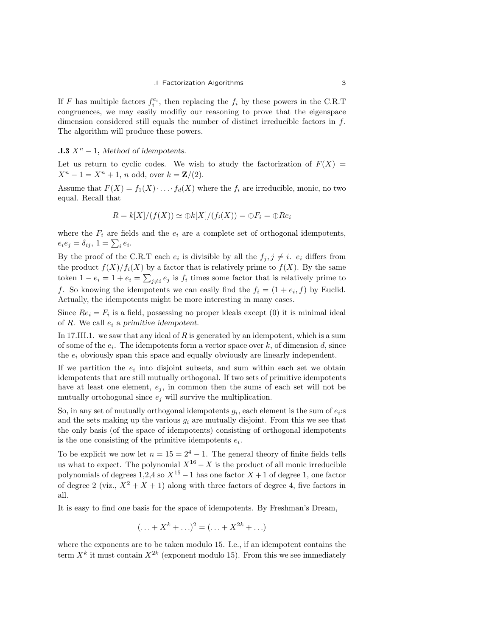If F has multiple factors  $f_i^{e_i}$ , then replacing the  $f_i$  by these powers in the C.R.T congruences, we may easily modifiy our reasoning to prove that the eigenspace dimension considered still equals the number of distinct irreducible factors in  $f$ . The algorithm will produce these powers.

## **.I.3**  $X^n$  − 1, Method of idempotents.

Let us return to cyclic codes. We wish to study the factorization of  $F(X) =$  $X^n - 1 = X^n + 1$ , n odd, over  $k = \mathbb{Z}/(2)$ .

Assume that  $F(X) = f_1(X) \cdot \ldots \cdot f_d(X)$  where the  $f_i$  are irreducible, monic, no two equal. Recall that

$$
R = k[X]/(f(X)) \simeq \bigoplus k[X]/(f_i(X)) = \bigoplus F_i = \bigoplus Re_i
$$

where the  $F_i$  are fields and the  $e_i$  are a complete set of orthogonal idempotents,  $e_i e_j = \delta_{ij}, \ 1 = \sum_i e_i.$ 

By the proof of the C.R.T each  $e_i$  is divisible by all the  $f_j, j \neq i$ .  $e_i$  differs from the product  $f(X)/f_i(X)$  by a factor that is relatively prime to  $f(X)$ . By the same token  $1 - e_i = 1 + e_i = \sum_{j \neq i} e_j$  is  $f_i$  times some factor that is relatively prime to f. So knowing the idempotents we can easily find the  $f_i = (1 + e_i, f)$  by Euclid. Actually, the idempotents might be more interesting in many cases.

Since  $Re_i = F_i$  is a field, possessing no proper ideals except (0) it is minimal ideal of  $R$ . We call  $e_i$  a primitive idempotent.

In 17.III.1. we saw that any ideal of  $R$  is generated by an idempotent, which is a sum of some of the  $e_i$ . The idempotents form a vector space over k, of dimension d, since the  $e_i$  obviously span this space and equally obviously are linearly independent.

If we partition the  $e_i$  into disjoint subsets, and sum within each set we obtain idempotents that are still mutually orthogonal. If two sets of primitive idempotents have at least one element,  $e_j$ , in common then the sums of each set will not be mutually ortohogonal since  $e_j$  will survive the multiplication.

So, in any set of mutually orthogonal idempotents  $g_i$ , each element is the sum of  $e_i$ : and the sets making up the various  $g_i$  are mutually disjoint. From this we see that the only basis (of the space of idempotents) consisting of orthogonal idempotents is the one consisting of the primitive idempotents  $e_i$ .

To be explicit we now let  $n = 15 = 2^4 - 1$ . The general theory of finite fields tells us what to expect. The polynomial  $X^{16} - X$  is the product of all monic irreducible polynomials of degrees 1,2,4 so  $X^{15} - 1$  has one factor  $X + 1$  of degree 1, one factor of degree 2 (viz.,  $X^2 + X + 1$ ) along with three factors of degree 4, five factors in all.

It is easy to find one basis for the space of idempotents. By Freshman's Dream,

$$
(\ldots + X^k + \ldots)^2 = (\ldots + X^{2k} + \ldots)
$$

where the exponents are to be taken modulo 15. I.e., if an idempotent contains the term  $X^k$  it must contain  $X^{2k}$  (exponent modulo 15). From this we see immediately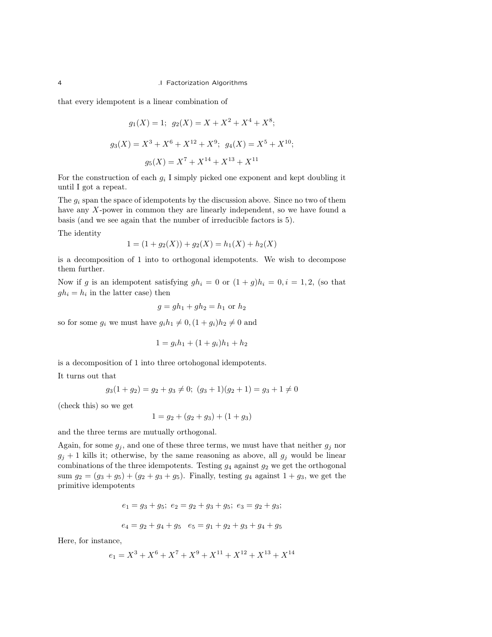that every idempotent is a linear combination of

$$
g_1(X) = 1
$$
;  $g_2(X) = X + X^2 + X^4 + X^8$ ;  
\n $g_3(X) = X^3 + X^6 + X^{12} + X^9$ ;  $g_4(X) = X^5 + X^{10}$ ;  
\n $g_5(X) = X^7 + X^{14} + X^{13} + X^{11}$ 

For the construction of each  $g_i$  I simply picked one exponent and kept doubling it until I got a repeat.

The  $g_i$  span the space of idempotents by the discussion above. Since no two of them have any X-power in common they are linearly independent, so we have found a basis (and we see again that the number of irreducible factors is 5).

The identity

$$
1 = (1 + g_2(X)) + g_2(X) = h_1(X) + h_2(X)
$$

is a decomposition of 1 into to orthogonal idempotents. We wish to decompose them further.

Now if g is an idempotent satisfying  $gh_i = 0$  or  $(1 + g)h_i = 0, i = 1, 2$ , (so that  $gh_i = h_i$  in the latter case) then

$$
g = gh_1 + gh_2 = h_1
$$
 or  $h_2$ 

so for some  $g_i$  we must have  $g_i h_1 \neq 0, (1 + g_i)h_2 \neq 0$  and

$$
1 = g_i h_1 + (1 + g_i) h_1 + h_2
$$

is a decomposition of 1 into three ortohogonal idempotents.

It turns out that

$$
g_3(1+g_2) = g_2 + g_3 \neq 0; \ (g_3+1)(g_2+1) = g_3 + 1 \neq 0
$$

(check this) so we get

$$
1 = g_2 + (g_2 + g_3) + (1 + g_3)
$$

and the three terms are mutually orthogonal.

Again, for some  $g_i$ , and one of these three terms, we must have that neither  $g_i$  nor  $g_i + 1$  kills it; otherwise, by the same reasoning as above, all  $g_i$  would be linear combinations of the three idempotents. Testing  $g_4$  against  $g_2$  we get the orthogonal sum  $g_2 = (g_3 + g_5) + (g_2 + g_3 + g_5)$ . Finally, testing  $g_4$  against  $1 + g_3$ , we get the primitive idempotents

$$
e_1 = g_3 + g_5; e_2 = g_2 + g_3 + g_5; e_3 = g_2 + g_3;
$$

$$
e_4 = g_2 + g_4 + g_5 \quad e_5 = g_1 + g_2 + g_3 + g_4 + g_5
$$

Here, for instance,

$$
e_1 = X^3 + X^6 + X^7 + X^9 + X^{11} + X^{12} + X^{13} + X^{14}
$$